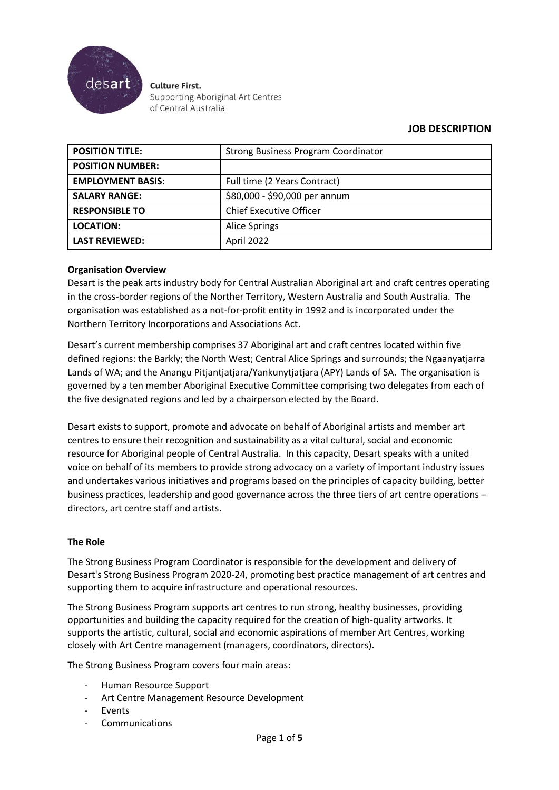

**Culture First.** Supporting Aboriginal Art Centres of Central Australia

# **JOB DESCRIPTION**

| <b>POSITION TITLE:</b>   | <b>Strong Business Program Coordinator</b> |  |
|--------------------------|--------------------------------------------|--|
| <b>POSITION NUMBER:</b>  |                                            |  |
| <b>EMPLOYMENT BASIS:</b> | Full time (2 Years Contract)               |  |
| <b>SALARY RANGE:</b>     | \$80,000 - \$90,000 per annum              |  |
| <b>RESPONSIBLE TO</b>    | <b>Chief Executive Officer</b>             |  |
| <b>LOCATION:</b>         | <b>Alice Springs</b>                       |  |
| <b>LAST REVIEWED:</b>    | April 2022                                 |  |

### **Organisation Overview**

Desart is the peak arts industry body for Central Australian Aboriginal art and craft centres operating in the cross-border regions of the Norther Territory, Western Australia and South Australia. The organisation was established as a not-for-profit entity in 1992 and is incorporated under the Northern Territory Incorporations and Associations Act.

Desart's current membership comprises 37 Aboriginal art and craft centres located within five defined regions: the Barkly; the North West; Central Alice Springs and surrounds; the Ngaanyatjarra Lands of WA; and the Anangu Pitjantjatjara/Yankunytjatjara (APY) Lands of SA. The organisation is governed by a ten member Aboriginal Executive Committee comprising two delegates from each of the five designated regions and led by a chairperson elected by the Board.

Desart exists to support, promote and advocate on behalf of Aboriginal artists and member art centres to ensure their recognition and sustainability as a vital cultural, social and economic resource for Aboriginal people of Central Australia. In this capacity, Desart speaks with a united voice on behalf of its members to provide strong advocacy on a variety of important industry issues and undertakes various initiatives and programs based on the principles of capacity building, better business practices, leadership and good governance across the three tiers of art centre operations – directors, art centre staff and artists.

### **The Role**

The Strong Business Program Coordinator is responsible for the development and delivery of Desart's Strong Business Program 2020-24, promoting best practice management of art centres and supporting them to acquire infrastructure and operational resources.

The Strong Business Program supports art centres to run strong, healthy businesses, providing opportunities and building the capacity required for the creation of high-quality artworks. It supports the artistic, cultural, social and economic aspirations of member Art Centres, working closely with Art Centre management (managers, coordinators, directors).

The Strong Business Program covers four main areas:

- Human Resource Support
- Art Centre Management Resource Development
- **Events**
- **Communications**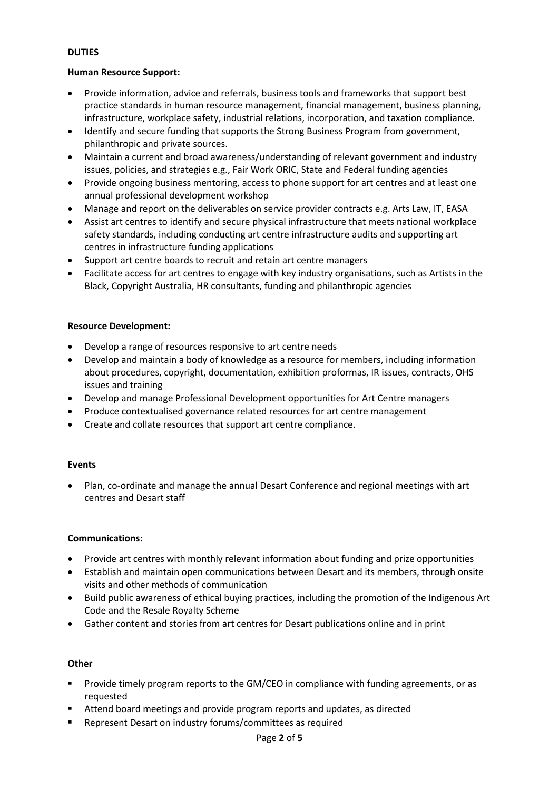## **DUTIES**

### **Human Resource Support:**

- Provide information, advice and referrals, business tools and frameworks that support best practice standards in human resource management, financial management, business planning, infrastructure, workplace safety, industrial relations, incorporation, and taxation compliance.
- Identify and secure funding that supports the Strong Business Program from government, philanthropic and private sources.
- Maintain a current and broad awareness/understanding of relevant government and industry issues, policies, and strategies e.g., Fair Work ORIC, State and Federal funding agencies
- Provide ongoing business mentoring, access to phone support for art centres and at least one annual professional development workshop
- Manage and report on the deliverables on service provider contracts e.g. Arts Law, IT, EASA
- Assist art centres to identify and secure physical infrastructure that meets national workplace safety standards, including conducting art centre infrastructure audits and supporting art centres in infrastructure funding applications
- Support art centre boards to recruit and retain art centre managers
- Facilitate access for art centres to engage with key industry organisations, such as Artists in the Black, Copyright Australia, HR consultants, funding and philanthropic agencies

### **Resource Development:**

- Develop a range of resources responsive to art centre needs
- Develop and maintain a body of knowledge as a resource for members, including information about procedures, copyright, documentation, exhibition proformas, IR issues, contracts, OHS issues and training
- Develop and manage Professional Development opportunities for Art Centre managers
- Produce contextualised governance related resources for art centre management
- Create and collate resources that support art centre compliance.

### **Events**

• Plan, co-ordinate and manage the annual Desart Conference and regional meetings with art centres and Desart staff

### **Communications:**

- Provide art centres with monthly relevant information about funding and prize opportunities
- Establish and maintain open communications between Desart and its members, through onsite visits and other methods of communication
- Build public awareness of ethical buying practices, including the promotion of the Indigenous Art Code and the Resale Royalty Scheme
- Gather content and stories from art centres for Desart publications online and in print

### **Other**

- Provide timely program reports to the GM/CEO in compliance with funding agreements, or as requested
- Attend board meetings and provide program reports and updates, as directed
- Represent Desart on industry forums/committees as required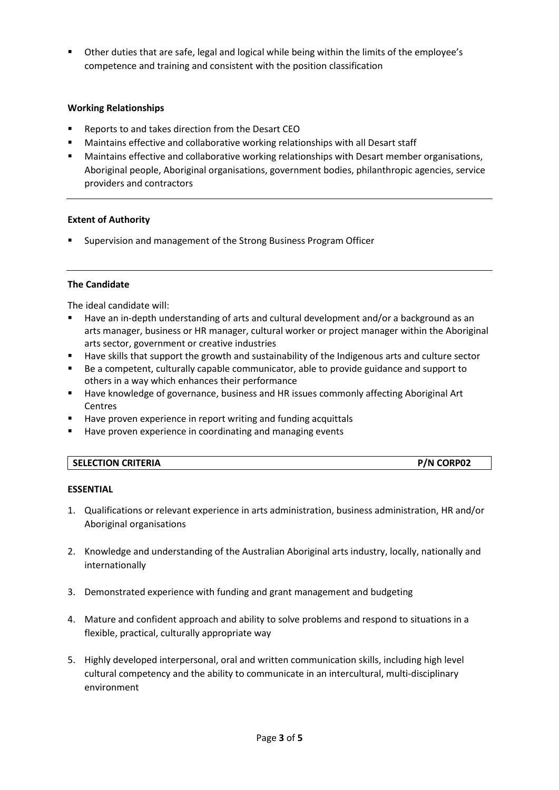■ Other duties that are safe, legal and logical while being within the limits of the employee's competence and training and consistent with the position classification

## **Working Relationships**

- Reports to and takes direction from the Desart CEO
- Maintains effective and collaborative working relationships with all Desart staff
- **■** Maintains effective and collaborative working relationships with Desart member organisations, Aboriginal people, Aboriginal organisations, government bodies, philanthropic agencies, service providers and contractors

### **Extent of Authority**

Supervision and management of the Strong Business Program Officer

### **The Candidate**

The ideal candidate will:

- Have an in-depth understanding of arts and cultural development and/or a background as an arts manager, business or HR manager, cultural worker or project manager within the Aboriginal arts sector, government or creative industries
- Have skills that support the growth and sustainability of the Indigenous arts and culture sector
- Be a competent, culturally capable communicator, able to provide guidance and support to others in a way which enhances their performance
- Have knowledge of governance, business and HR issues commonly affecting Aboriginal Art Centres
- Have proven experience in report writing and funding acquittals
- Have proven experience in coordinating and managing events

| <b>SELECTION CRITERIA</b> | <b>P/N CORP02</b> |
|---------------------------|-------------------|
|                           |                   |

### **ESSENTIAL**

- 1. Qualifications or relevant experience in arts administration, business administration, HR and/or Aboriginal organisations
- 2. Knowledge and understanding of the Australian Aboriginal arts industry, locally, nationally and internationally
- 3. Demonstrated experience with funding and grant management and budgeting
- 4. Mature and confident approach and ability to solve problems and respond to situations in a flexible, practical, culturally appropriate way
- 5. Highly developed interpersonal, oral and written communication skills, including high level cultural competency and the ability to communicate in an intercultural, multi-disciplinary environment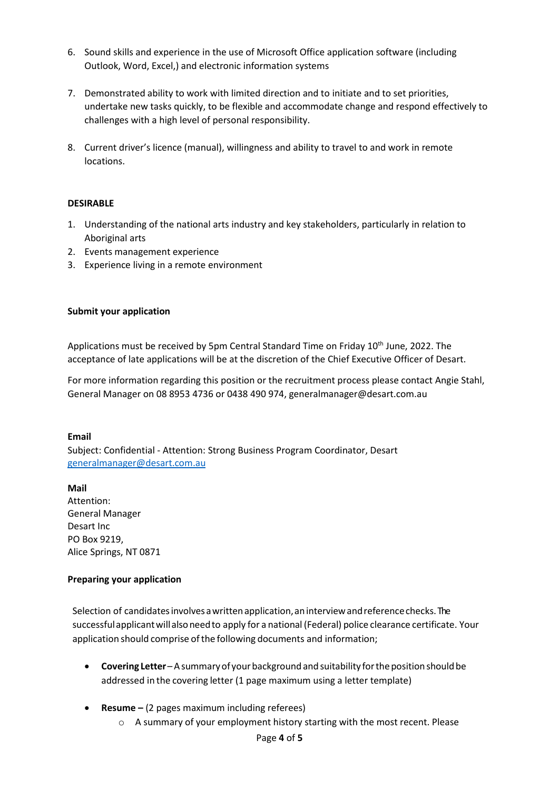- 6. Sound skills and experience in the use of Microsoft Office application software (including Outlook, Word, Excel,) and electronic information systems
- 7. Demonstrated ability to work with limited direction and to initiate and to set priorities, undertake new tasks quickly, to be flexible and accommodate change and respond effectively to challenges with a high level of personal responsibility.
- 8. Current driver's licence (manual), willingness and ability to travel to and work in remote locations.

### **DESIRABLE**

- 1. Understanding of the national arts industry and key stakeholders, particularly in relation to Aboriginal arts
- 2. Events management experience
- 3. Experience living in a remote environment

### **Submit your application**

Applications must be received by 5pm Central Standard Time on Friday 10<sup>th</sup> June, 2022. The acceptance of late applications will be at the discretion of the Chief Executive Officer of Desart.

For more information regarding this position or the recruitment process please contact Angie Stahl, General Manager on 08 8953 4736 or 0438 490 974, generalmanager@desart.com.au

### **Email**

Subject: Confidential - Attention: Strong Business Program Coordinator, Desart [generalmanager@desart.com.au](mailto:generalmanager@desart.com.au)

### **Mail**

Attention: General Manager Desart Inc PO Box 9219, Alice Springs, NT 0871

### **Preparing your application**

Selection of candidates involves a written application, an interview and reference checks. The successfulapplicantwillalsoneedto apply for a national (Federal) police clearance certificate. Your application should comprise of the following documents and information;

- **Covering Letter**–Asummaryof yourbackgroundandsuitability forthepositionshouldbe addressed in the covering letter (1 page maximum using a letter template)
- **Resume –** (2 pages maximum including referees)
	- o A summary of your employment history starting with the most recent. Please